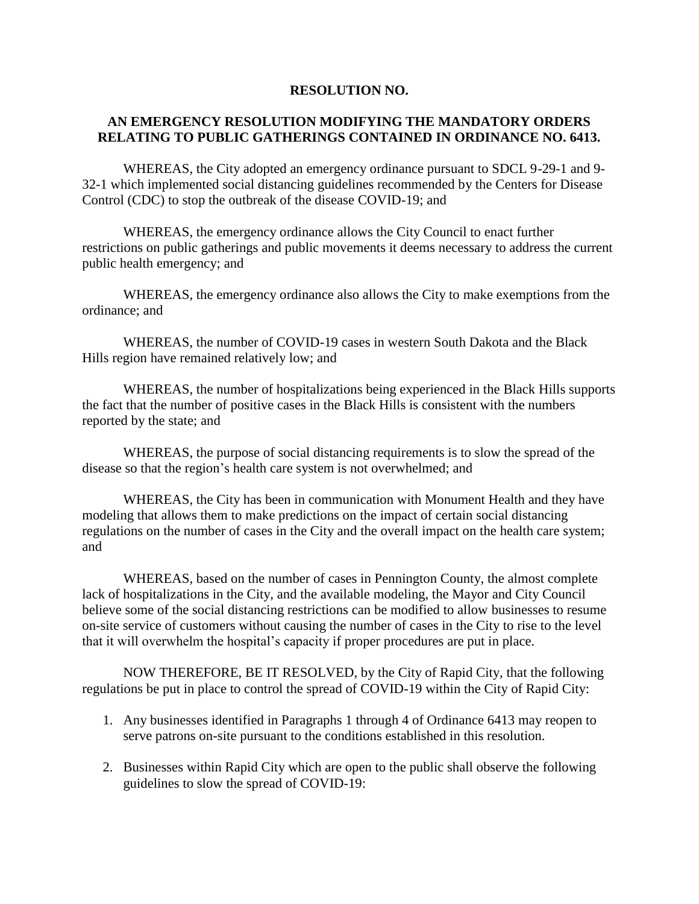## **RESOLUTION NO.**

## **AN EMERGENCY RESOLUTION MODIFYING THE MANDATORY ORDERS RELATING TO PUBLIC GATHERINGS CONTAINED IN ORDINANCE NO. 6413.**

WHEREAS, the City adopted an emergency ordinance pursuant to SDCL 9-29-1 and 9- 32-1 which implemented social distancing guidelines recommended by the Centers for Disease Control (CDC) to stop the outbreak of the disease COVID-19; and

WHEREAS, the emergency ordinance allows the City Council to enact further restrictions on public gatherings and public movements it deems necessary to address the current public health emergency; and

WHEREAS, the emergency ordinance also allows the City to make exemptions from the ordinance; and

WHEREAS, the number of COVID-19 cases in western South Dakota and the Black Hills region have remained relatively low; and

WHEREAS, the number of hospitalizations being experienced in the Black Hills supports the fact that the number of positive cases in the Black Hills is consistent with the numbers reported by the state; and

WHEREAS, the purpose of social distancing requirements is to slow the spread of the disease so that the region's health care system is not overwhelmed; and

WHEREAS, the City has been in communication with Monument Health and they have modeling that allows them to make predictions on the impact of certain social distancing regulations on the number of cases in the City and the overall impact on the health care system; and

WHEREAS, based on the number of cases in Pennington County, the almost complete lack of hospitalizations in the City, and the available modeling, the Mayor and City Council believe some of the social distancing restrictions can be modified to allow businesses to resume on-site service of customers without causing the number of cases in the City to rise to the level that it will overwhelm the hospital's capacity if proper procedures are put in place.

NOW THEREFORE, BE IT RESOLVED, by the City of Rapid City, that the following regulations be put in place to control the spread of COVID-19 within the City of Rapid City:

- 1. Any businesses identified in Paragraphs 1 through 4 of Ordinance 6413 may reopen to serve patrons on-site pursuant to the conditions established in this resolution.
- 2. Businesses within Rapid City which are open to the public shall observe the following guidelines to slow the spread of COVID-19: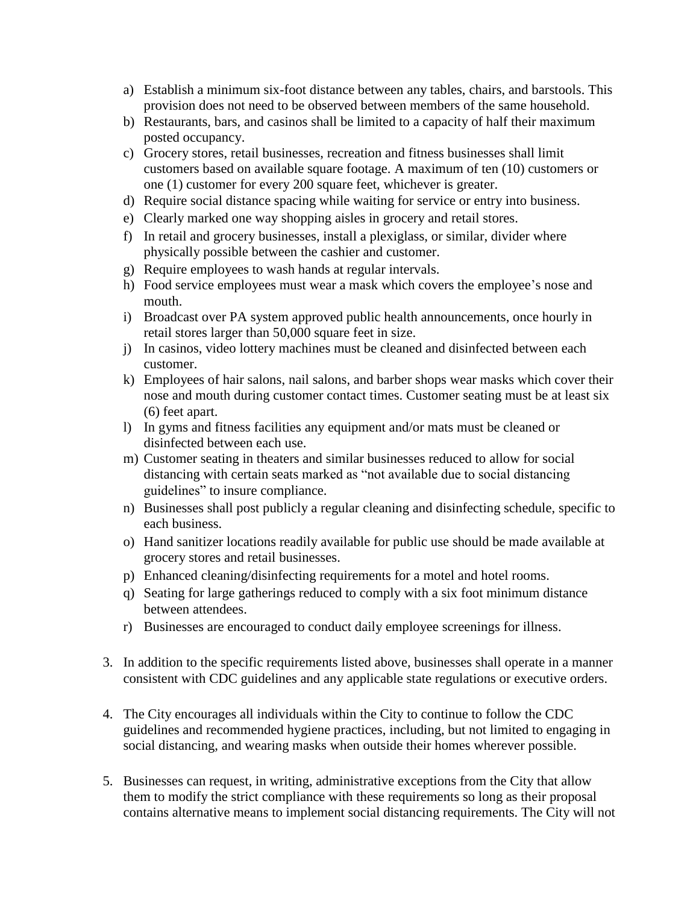- a) Establish a minimum six-foot distance between any tables, chairs, and barstools. This provision does not need to be observed between members of the same household.
- b) Restaurants, bars, and casinos shall be limited to a capacity of half their maximum posted occupancy.
- c) Grocery stores, retail businesses, recreation and fitness businesses shall limit customers based on available square footage. A maximum of ten (10) customers or one (1) customer for every 200 square feet, whichever is greater.
- d) Require social distance spacing while waiting for service or entry into business.
- e) Clearly marked one way shopping aisles in grocery and retail stores.
- f) In retail and grocery businesses, install a plexiglass, or similar, divider where physically possible between the cashier and customer.
- g) Require employees to wash hands at regular intervals.
- h) Food service employees must wear a mask which covers the employee's nose and mouth.
- i) Broadcast over PA system approved public health announcements, once hourly in retail stores larger than 50,000 square feet in size.
- j) In casinos, video lottery machines must be cleaned and disinfected between each customer.
- k) Employees of hair salons, nail salons, and barber shops wear masks which cover their nose and mouth during customer contact times. Customer seating must be at least six (6) feet apart.
- l) In gyms and fitness facilities any equipment and/or mats must be cleaned or disinfected between each use.
- m) Customer seating in theaters and similar businesses reduced to allow for social distancing with certain seats marked as "not available due to social distancing guidelines" to insure compliance.
- n) Businesses shall post publicly a regular cleaning and disinfecting schedule, specific to each business.
- o) Hand sanitizer locations readily available for public use should be made available at grocery stores and retail businesses.
- p) Enhanced cleaning/disinfecting requirements for a motel and hotel rooms.
- q) Seating for large gatherings reduced to comply with a six foot minimum distance between attendees.
- r) Businesses are encouraged to conduct daily employee screenings for illness.
- 3. In addition to the specific requirements listed above, businesses shall operate in a manner consistent with CDC guidelines and any applicable state regulations or executive orders.
- 4. The City encourages all individuals within the City to continue to follow the CDC guidelines and recommended hygiene practices, including, but not limited to engaging in social distancing, and wearing masks when outside their homes wherever possible.
- 5. Businesses can request, in writing, administrative exceptions from the City that allow them to modify the strict compliance with these requirements so long as their proposal contains alternative means to implement social distancing requirements. The City will not